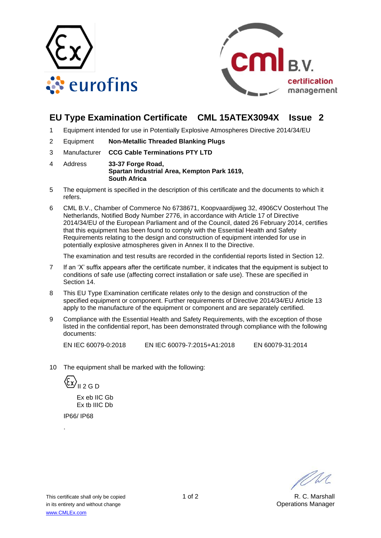



## **EU Type Examination Certificate CML 15ATEX3094X Issue 2**

- 1 Equipment intended for use in Potentially Explosive Atmospheres Directive 2014/34/EU
- 2 Equipment **Non-Metallic Threaded Blanking Plugs**
- 3 Manufacturer **CCG Cable Terminations PTY LTD**
- 4 Address **33-37 Forge Road, Spartan Industrial Area, Kempton Park 1619, South Africa**
- 5 The equipment is specified in the description of this certificate and the documents to which it refers.
- 6 CML B.V., Chamber of Commerce No 6738671, Koopvaardijweg 32, 4906CV Oosterhout The Netherlands, Notified Body Number 2776, in accordance with Article 17 of Directive 2014/34/EU of the European Parliament and of the Council, dated 26 February 2014, certifies that this equipment has been found to comply with the Essential Health and Safety Requirements relating to the design and construction of equipment intended for use in potentially explosive atmospheres given in Annex II to the Directive.

The examination and test results are recorded in the confidential reports listed in Section 12.

- 7 If an 'X' suffix appears after the certificate number, it indicates that the equipment is subject to conditions of safe use (affecting correct installation or safe use). These are specified in Section 14.
- 8 This EU Type Examination certificate relates only to the design and construction of the specified equipment or component. Further requirements of Directive 2014/34/EU Article 13 apply to the manufacture of the equipment or component and are separately certified.
- 9 Compliance with the Essential Health and Safety Requirements, with the exception of those listed in the confidential report, has been demonstrated through compliance with the following documents:

EN IEC 60079-0:2018 EN IEC 60079-7:2015+A1:2018 EN 60079-31:2014

10 The equipment shall be marked with the following:

 $\langle \xi$ x $\rangle$ <sub>II 2 G D</sub>

Ex eb IIC Gb Ex tb IIIC Db

IP66/ IP68

.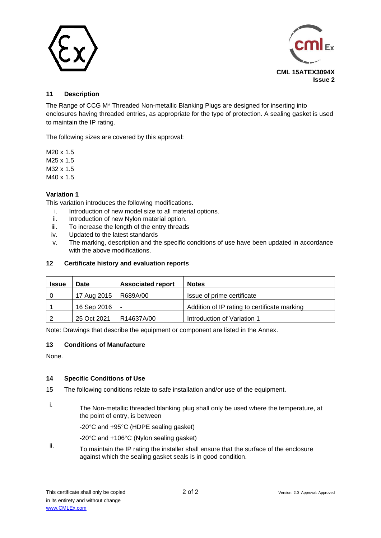



### **11 Description**

The Range of CCG M\* Threaded Non-metallic Blanking Plugs are designed for inserting into enclosures having threaded entries, as appropriate for the type of protection. A sealing gasket is used to maintain the IP rating.

The following sizes are covered by this approval:

M20 x 1.5 M25 x 1.5 M32 x 1.5 M40 x 1.5

## **Variation 1**

This variation introduces the following modifications.

- i. Introduction of new model size to all material options.
- ii. Introduction of new Nylon material option.
- iii. To increase the length of the entry threads
- iv. Updated to the latest standards
- v. The marking, description and the specific conditions of use have been updated in accordance with the above modifications.

#### **12 Certificate history and evaluation reports**

| <b>Issue</b> | Date        | <b>Associated report</b> | <b>Notes</b>                                 |
|--------------|-------------|--------------------------|----------------------------------------------|
|              | 17 Aug 2015 | R689A/00                 | Issue of prime certificate                   |
|              | 16 Sep 2016 |                          | Addition of IP rating to certificate marking |
| -2           | 25 Oct 2021 | R14637A/00               | Introduction of Variation 1                  |

Note: Drawings that describe the equipment or component are listed in the Annex.

#### **13 Conditions of Manufacture**

None.

#### **14 Specific Conditions of Use**

- 15 The following conditions relate to safe installation and/or use of the equipment.
- 

i. The Non-metallic threaded blanking plug shall only be used where the temperature, at the point of entry, is between

-20°C and +95°C (HDPE sealing gasket)

-20°C and +106°C (Nylon sealing gasket)

ii. To maintain the IP rating the installer shall ensure that the surface of the enclosure against which the sealing gasket seals is in good condition.